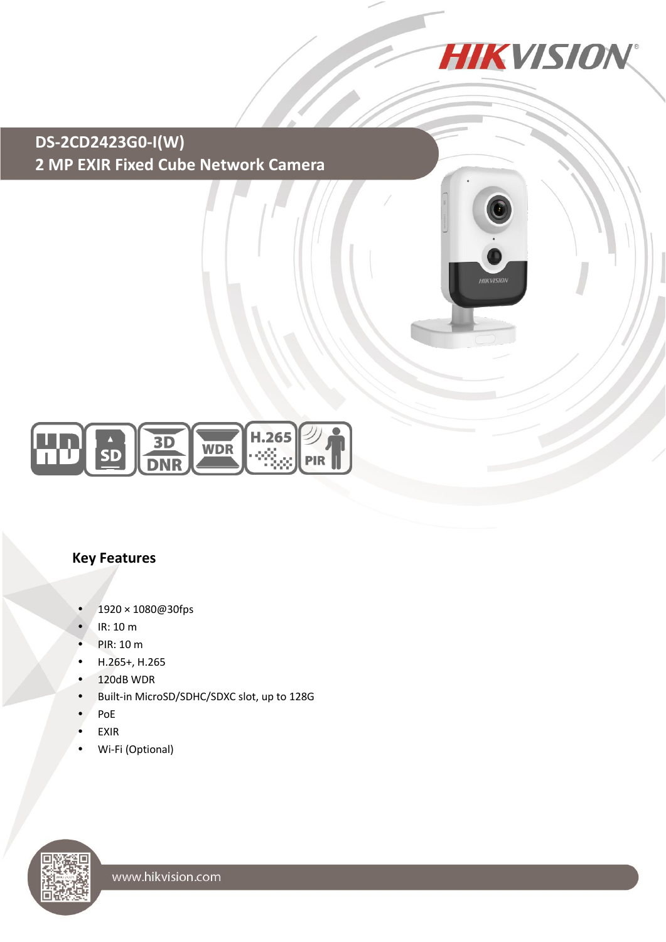

# **DS-2CD2423G0-I(W) 2 MP EXIR Fixed Cube Network Camera**





#### **Key Features**

- 1920 × 1080@30fps
- IR: 10 m
- PIR: 10 m
- H.265+, H.265
- 120dB WDR
- Built-in MicroSD/SDHC/SDXC slot, up to 128G
- PoE
- EXIR
- Wi-Fi (Optional)

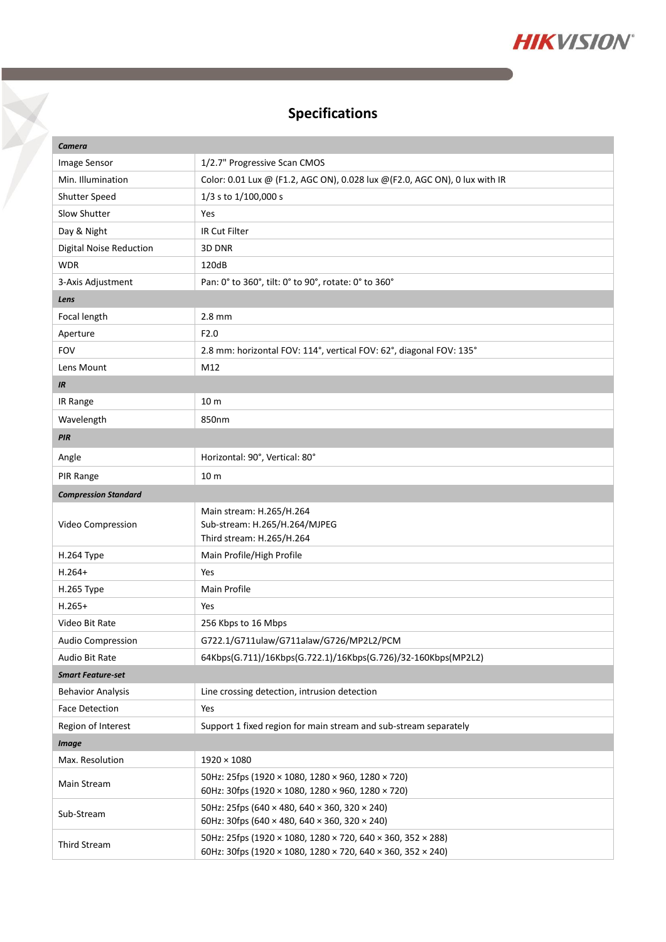

## **Specifications**

Y

| Camera                      |                                                                                                                            |  |
|-----------------------------|----------------------------------------------------------------------------------------------------------------------------|--|
| Image Sensor                | 1/2.7" Progressive Scan CMOS                                                                                               |  |
| Min. Illumination           | Color: 0.01 Lux @ (F1.2, AGC ON), 0.028 lux @ (F2.0, AGC ON), 0 lux with IR                                                |  |
| Shutter Speed               | 1/3 s to 1/100,000 s                                                                                                       |  |
| Slow Shutter                | Yes                                                                                                                        |  |
| Day & Night                 | IR Cut Filter                                                                                                              |  |
| Digital Noise Reduction     | 3D DNR                                                                                                                     |  |
| <b>WDR</b>                  | 120dB                                                                                                                      |  |
| 3-Axis Adjustment           | Pan: 0° to 360°, tilt: 0° to 90°, rotate: 0° to 360°                                                                       |  |
| Lens                        |                                                                                                                            |  |
| Focal length                | $2.8$ mm                                                                                                                   |  |
| Aperture                    | F <sub>2.0</sub>                                                                                                           |  |
| <b>FOV</b>                  | 2.8 mm: horizontal FOV: 114°, vertical FOV: 62°, diagonal FOV: 135°                                                        |  |
| Lens Mount                  | M12                                                                                                                        |  |
| IR                          |                                                                                                                            |  |
| IR Range                    | 10 <sub>m</sub>                                                                                                            |  |
| Wavelength                  | 850nm                                                                                                                      |  |
| PIR                         |                                                                                                                            |  |
| Angle                       | Horizontal: 90°, Vertical: 80°                                                                                             |  |
| PIR Range                   | 10 <sub>m</sub>                                                                                                            |  |
| <b>Compression Standard</b> |                                                                                                                            |  |
| Video Compression           | Main stream: H.265/H.264<br>Sub-stream: H.265/H.264/MJPEG<br>Third stream: H.265/H.264                                     |  |
| H.264 Type                  | Main Profile/High Profile                                                                                                  |  |
| $H.264+$                    | Yes                                                                                                                        |  |
| H.265 Type                  | Main Profile                                                                                                               |  |
| $H.265+$                    | Yes                                                                                                                        |  |
| Video Bit Rate              | 256 Kbps to 16 Mbps                                                                                                        |  |
| Audio Compression           | G722.1/G711ulaw/G711alaw/G726/MP2L2/PCM                                                                                    |  |
| Audio Bit Rate              | 64Kbps(G.711)/16Kbps(G.722.1)/16Kbps(G.726)/32-160Kbps(MP2L2)                                                              |  |
| <b>Smart Feature-set</b>    |                                                                                                                            |  |
| <b>Behavior Analysis</b>    | Line crossing detection, intrusion detection                                                                               |  |
| <b>Face Detection</b>       | Yes                                                                                                                        |  |
| Region of Interest          | Support 1 fixed region for main stream and sub-stream separately                                                           |  |
| <b>Image</b>                |                                                                                                                            |  |
| Max. Resolution             | $1920 \times 1080$                                                                                                         |  |
| Main Stream                 | 50Hz: 25fps (1920 × 1080, 1280 × 960, 1280 × 720)<br>60Hz: 30fps (1920 × 1080, 1280 × 960, 1280 × 720)                     |  |
| Sub-Stream                  | 50Hz: 25fps (640 × 480, 640 × 360, 320 × 240)<br>60Hz: 30fps (640 × 480, 640 × 360, 320 × 240)                             |  |
| <b>Third Stream</b>         | 50Hz: 25fps (1920 × 1080, 1280 × 720, 640 × 360, 352 × 288)<br>60Hz: 30fps (1920 × 1080, 1280 × 720, 640 × 360, 352 × 240) |  |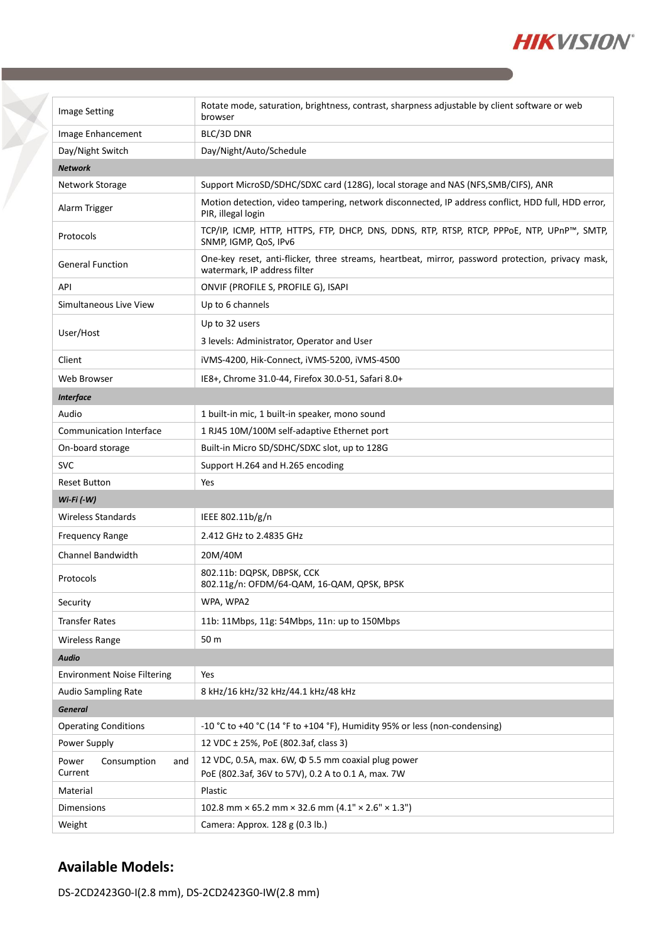

| <b>Image Setting</b>                   | Rotate mode, saturation, brightness, contrast, sharpness adjustable by client software or web<br>browser                          |  |
|----------------------------------------|-----------------------------------------------------------------------------------------------------------------------------------|--|
| Image Enhancement                      | BLC/3D DNR                                                                                                                        |  |
| Day/Night Switch                       | Day/Night/Auto/Schedule                                                                                                           |  |
| <b>Network</b>                         |                                                                                                                                   |  |
| Network Storage                        | Support MicroSD/SDHC/SDXC card (128G), local storage and NAS (NFS, SMB/CIFS), ANR                                                 |  |
| Alarm Trigger                          | Motion detection, video tampering, network disconnected, IP address conflict, HDD full, HDD error,<br>PIR, illegal login          |  |
| Protocols                              | TCP/IP, ICMP, HTTP, HTTPS, FTP, DHCP, DNS, DDNS, RTP, RTSP, RTCP, PPPOE, NTP, UPnP™, SMTP,<br>SNMP, IGMP, QoS, IPv6               |  |
| <b>General Function</b>                | One-key reset, anti-flicker, three streams, heartbeat, mirror, password protection, privacy mask,<br>watermark, IP address filter |  |
| API                                    | ONVIF (PROFILE S, PROFILE G), ISAPI                                                                                               |  |
| Simultaneous Live View                 | Up to 6 channels                                                                                                                  |  |
|                                        | Up to 32 users                                                                                                                    |  |
| User/Host                              | 3 levels: Administrator, Operator and User                                                                                        |  |
| Client                                 | iVMS-4200, Hik-Connect, iVMS-5200, iVMS-4500                                                                                      |  |
| Web Browser                            | IE8+, Chrome 31.0-44, Firefox 30.0-51, Safari 8.0+                                                                                |  |
| <b>Interface</b>                       |                                                                                                                                   |  |
| Audio                                  | 1 built-in mic, 1 built-in speaker, mono sound                                                                                    |  |
| <b>Communication Interface</b>         | 1 RJ45 10M/100M self-adaptive Ethernet port                                                                                       |  |
| On-board storage                       | Built-in Micro SD/SDHC/SDXC slot, up to 128G                                                                                      |  |
| <b>SVC</b>                             | Support H.264 and H.265 encoding                                                                                                  |  |
| <b>Reset Button</b>                    | Yes                                                                                                                               |  |
| $Wi$ -Fi $(-W)$                        |                                                                                                                                   |  |
| Wireless Standards                     | IEEE 802.11b/g/n                                                                                                                  |  |
| <b>Frequency Range</b>                 | 2.412 GHz to 2.4835 GHz                                                                                                           |  |
| Channel Bandwidth                      | 20M/40M                                                                                                                           |  |
| Protocols                              | 802.11b: DOPSK, DBPSK, CCK<br>802.11g/n: OFDM/64-QAM, 16-QAM, QPSK, BPSK                                                          |  |
| Security                               | WPA, WPA2                                                                                                                         |  |
| <b>Transfer Rates</b>                  | 11b: 11Mbps, 11g: 54Mbps, 11n: up to 150Mbps                                                                                      |  |
| <b>Wireless Range</b>                  | 50 m                                                                                                                              |  |
| <b>Audio</b>                           |                                                                                                                                   |  |
| <b>Environment Noise Filtering</b>     | Yes                                                                                                                               |  |
| Audio Sampling Rate                    | 8 kHz/16 kHz/32 kHz/44.1 kHz/48 kHz                                                                                               |  |
| <b>General</b>                         |                                                                                                                                   |  |
| <b>Operating Conditions</b>            | -10 °C to +40 °C (14 °F to +104 °F), Humidity 95% or less (non-condensing)                                                        |  |
| Power Supply                           | 12 VDC ± 25%, PoE (802.3af, class 3)                                                                                              |  |
|                                        | 12 VDC, 0.5A, max. 6W, $\Phi$ 5.5 mm coaxial plug power                                                                           |  |
| Consumption<br>Power<br>and<br>Current | PoE (802.3af, 36V to 57V), 0.2 A to 0.1 A, max. 7W                                                                                |  |
| Material                               | Plastic                                                                                                                           |  |
| Dimensions                             | 102.8 mm × 65.2 mm × 32.6 mm $(4.1" \times 2.6" \times 1.3")$                                                                     |  |
| Weight                                 | Camera: Approx. 128 g (0.3 lb.)                                                                                                   |  |

### **Available Models:**